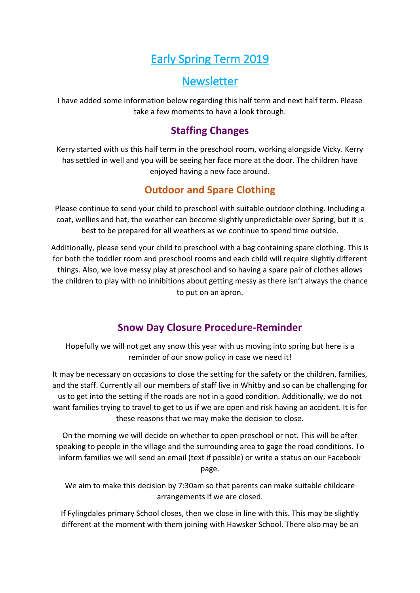# Early Spring Term 2019

## **Newsletter**

I have added some information below regarding this half term and next half term. Please take a few moments to have a look through.

## **Staffing Changes**

Kerry started with us this half term in the preschool room, working alongside Vicky. Kerry has settled in well and you will be seeing her face more at the door. The children have enjoyed having a new face around.

## **Outdoor and Spare Clothing**

Please continue to send your child to preschool with suitable outdoor clothing. Including a coat, wellies and hat, the weather can become slightly unpredictable over Spring, but it is best to be prepared for all weathers as we continue to spend time outside.

Additionally, please send your child to preschool with a bag containing spare clothing. This is for both the toddler room and preschool rooms and each child will require slightly different things. Also, we love messy play at preschool and so having a spare pair of clothes allows the children to play with no inhibitions about getting messy as there isn't always the chance to put on an apron.

## **Snow Day Closure Procedure-Reminder**

Hopefully we will not get any snow this year with us moving into spring but here is a reminder of our snow policy in case we need it!

It may be necessary on occasions to close the setting for the safety or the children, families, and the staff. Currently all our members of staff live in Whitby and so can be challenging for us to get into the setting if the roads are not in a good condition. Additionally, we do not want families trying to travel to get to us if we are open and risk having an accident. It is for these reasons that we may make the decision to close.

On the morning we will decide on whether to open preschool or not. This will be after speaking to people in the village and the surrounding area to gage the road conditions. To inform families we will send an email (text if possible) or write a status on our Facebook page.

We aim to make this decision by 7:30am so that parents can make suitable childcare arrangements if we are closed.

If Fylingdales primary School closes, then we close in line with this. This may be slightly different at the moment with them joining with Hawsker School. There also may be an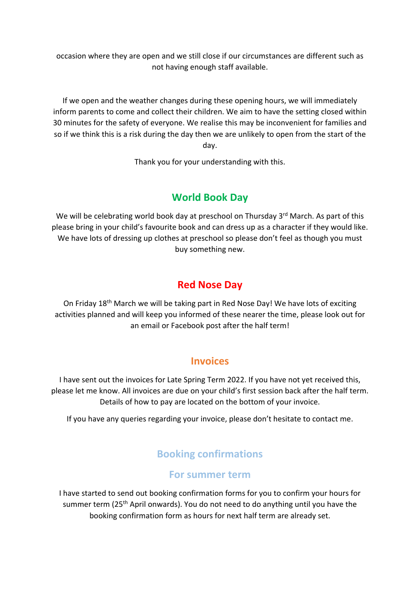occasion where they are open and we still close if our circumstances are different such as not having enough staff available.

If we open and the weather changes during these opening hours, we will immediately inform parents to come and collect their children. We aim to have the setting closed within 30 minutes for the safety of everyone. We realise this may be inconvenient for families and so if we think this is a risk during the day then we are unlikely to open from the start of the day.

Thank you for your understanding with this.

### **World Book Day**

We will be celebrating world book day at preschool on Thursday 3<sup>rd</sup> March. As part of this please bring in your child's favourite book and can dress up as a character if they would like. We have lots of dressing up clothes at preschool so please don't feel as though you must buy something new.

### **Red Nose Day**

On Friday 18th March we will be taking part in Red Nose Day! We have lots of exciting activities planned and will keep you informed of these nearer the time, please look out for an email or Facebook post after the half term!

### **Invoices**

I have sent out the invoices for Late Spring Term 2022. If you have not yet received this, please let me know. All invoices are due on your child's first session back after the half term. Details of how to pay are located on the bottom of your invoice.

If you have any queries regarding your invoice, please don't hesitate to contact me.

## **Booking confirmations**

#### **For summer term**

I have started to send out booking confirmation forms for you to confirm your hours for summer term (25<sup>th</sup> April onwards). You do not need to do anything until you have the booking confirmation form as hours for next half term are already set.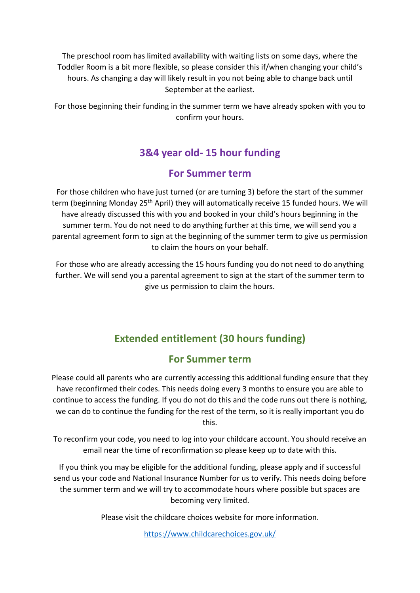The preschool room has limited availability with waiting lists on some days, where the Toddler Room is a bit more flexible, so please consider this if/when changing your child's hours. As changing a day will likely result in you not being able to change back until September at the earliest.

For those beginning their funding in the summer term we have already spoken with you to confirm your hours.

## **3&4 year old- 15 hour funding**

### **For Summer term**

For those children who have just turned (or are turning 3) before the start of the summer term (beginning Monday 25<sup>th</sup> April) they will automatically receive 15 funded hours. We will have already discussed this with you and booked in your child's hours beginning in the summer term. You do not need to do anything further at this time, we will send you a parental agreement form to sign at the beginning of the summer term to give us permission to claim the hours on your behalf.

For those who are already accessing the 15 hours funding you do not need to do anything further. We will send you a parental agreement to sign at the start of the summer term to give us permission to claim the hours.

## **Extended entitlement (30 hours funding)**

### **For Summer term**

Please could all parents who are currently accessing this additional funding ensure that they have reconfirmed their codes. This needs doing every 3 months to ensure you are able to continue to access the funding. If you do not do this and the code runs out there is nothing, we can do to continue the funding for the rest of the term, so it is really important you do this.

To reconfirm your code, you need to log into your childcare account. You should receive an email near the time of reconfirmation so please keep up to date with this.

If you think you may be eligible for the additional funding, please apply and if successful send us your code and National Insurance Number for us to verify. This needs doing before the summer term and we will try to accommodate hours where possible but spaces are becoming very limited.

Please visit the childcare choices website for more information.

<https://www.childcarechoices.gov.uk/>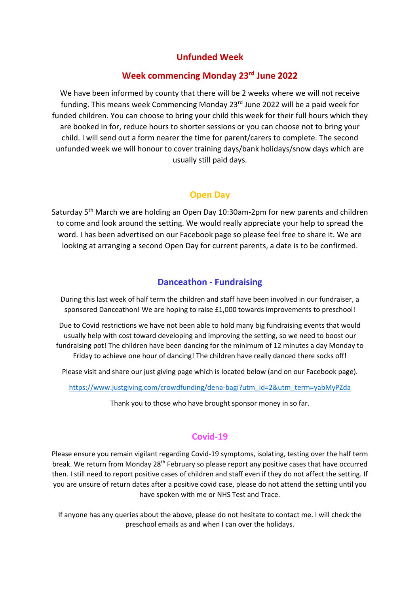#### **Unfunded Week**

#### **Week commencing Monday 23rd June 2022**

We have been informed by county that there will be 2 weeks where we will not receive funding. This means week Commencing Monday 23rd June 2022 will be a paid week for funded children. You can choose to bring your child this week for their full hours which they are booked in for, reduce hours to shorter sessions or you can choose not to bring your child. I will send out a form nearer the time for parent/carers to complete. The second unfunded week we will honour to cover training days/bank holidays/snow days which are usually still paid days.

#### **Open Day**

Saturday 5th March we are holding an Open Day 10:30am-2pm for new parents and children to come and look around the setting. We would really appreciate your help to spread the word. I has been advertised on our Facebook page so please feel free to share it. We are looking at arranging a second Open Day for current parents, a date is to be confirmed.

#### **Danceathon - Fundraising**

During this last week of half term the children and staff have been involved in our fundraiser, a sponsored Danceathon! We are hoping to raise £1,000 towards improvements to preschool!

Due to Covid restrictions we have not been able to hold many big fundraising events that would usually help with cost toward developing and improving the setting, so we need to boost our fundraising pot! The children have been dancing for the minimum of 12 minutes a day Monday to Friday to achieve one hour of dancing! The children have really danced there socks off!

Please visit and share our just giving page which is located below (and on our Facebook page).

[https://www.justgiving.com/crowdfunding/dena-bagi?utm\\_id=2&utm\\_term=yabMyPZda](https://www.justgiving.com/crowdfunding/dena-bagi?utm_id=2&utm_term=yabMyPZda)

Thank you to those who have brought sponsor money in so far.

#### **Covid-19**

Please ensure you remain vigilant regarding Covid-19 symptoms, isolating, testing over the half term break. We return from Monday 28th February so please report any positive cases that have occurred then. I still need to report positive cases of children and staff even if they do not affect the setting. If you are unsure of return dates after a positive covid case, please do not attend the setting until you have spoken with me or NHS Test and Trace.

If anyone has any queries about the above, please do not hesitate to contact me. I will check the preschool emails as and when I can over the holidays.